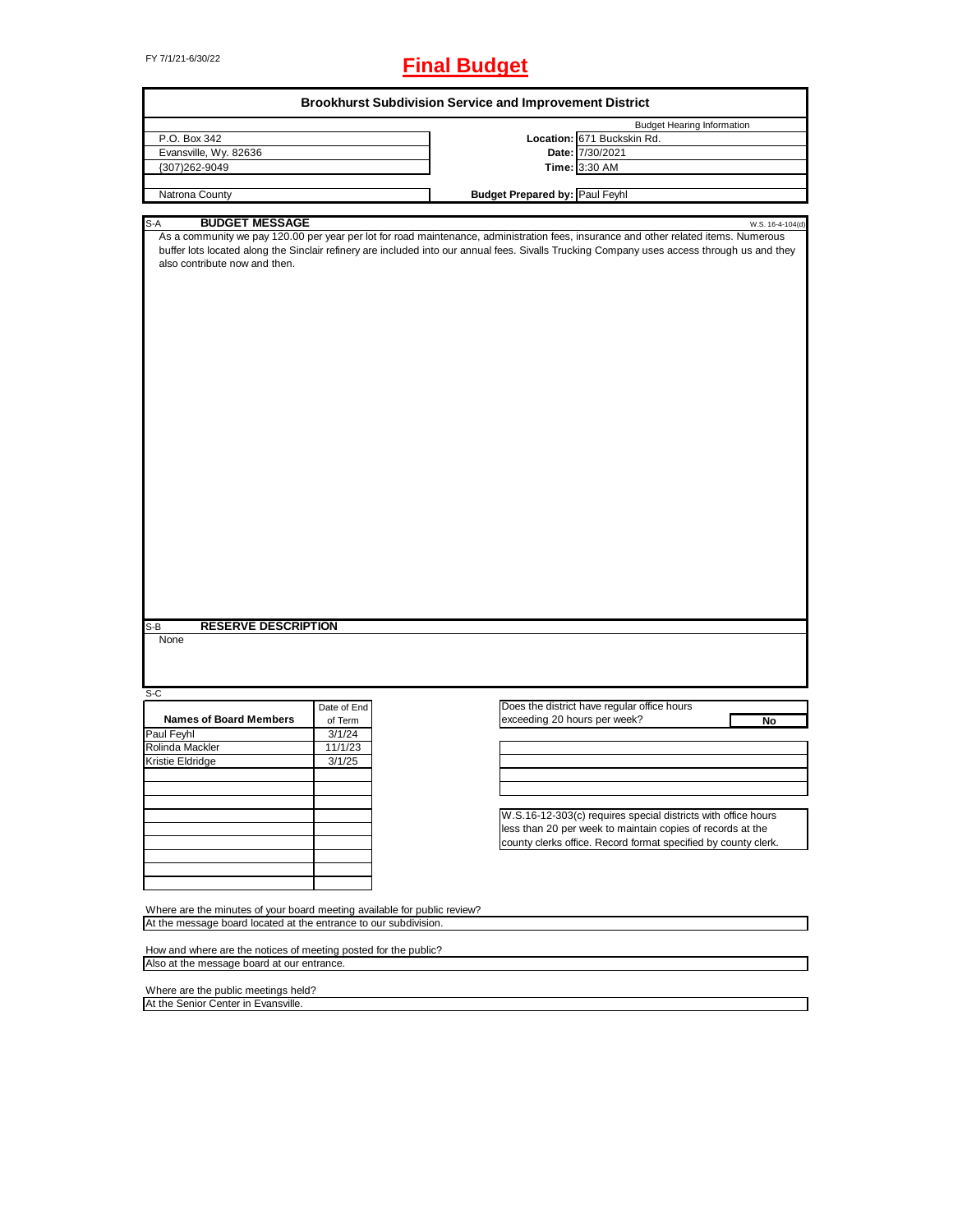# FY 7/1/21-6/30/22 **Final Budget**

|                                                                          |             | <b>Brookhurst Subdivision Service and Improvement District</b>                                                                                                                                                                                                                      |
|--------------------------------------------------------------------------|-------------|-------------------------------------------------------------------------------------------------------------------------------------------------------------------------------------------------------------------------------------------------------------------------------------|
|                                                                          |             | <b>Budget Hearing Information</b>                                                                                                                                                                                                                                                   |
| P.O. Box 342                                                             |             | Location: 671 Buckskin Rd.                                                                                                                                                                                                                                                          |
| Evansville, Wy. 82636                                                    |             | Date: 7/30/2021                                                                                                                                                                                                                                                                     |
| {307)262-9049                                                            |             | Time: 3:30 AM                                                                                                                                                                                                                                                                       |
|                                                                          |             | <b>Budget Prepared by: Paul Feyhl</b>                                                                                                                                                                                                                                               |
| Natrona County                                                           |             |                                                                                                                                                                                                                                                                                     |
| <b>BUDGET MESSAGE</b><br>S-A                                             |             | W.S. 16-4-104(d)                                                                                                                                                                                                                                                                    |
| also contribute now and then.                                            |             | As a community we pay 120.00 per year per lot for road maintenance, administration fees, insurance and other related items. Numerous<br>buffer lots located along the Sinclair refinery are included into our annual fees. Sivalls Trucking Company uses access through us and they |
| <b>RESERVE DESCRIPTION</b><br>S-B<br>None                                |             |                                                                                                                                                                                                                                                                                     |
| S-C                                                                      |             |                                                                                                                                                                                                                                                                                     |
|                                                                          | Date of End | Does the district have regular office hours                                                                                                                                                                                                                                         |
| <b>Names of Board Members</b>                                            | of Term     | exceeding 20 hours per week?<br>No                                                                                                                                                                                                                                                  |
| Paul Feyhl                                                               | 3/1/24      |                                                                                                                                                                                                                                                                                     |
| Rolinda Mackler                                                          | 11/1/23     |                                                                                                                                                                                                                                                                                     |
| Kristie Eldridge                                                         | 3/1/25      |                                                                                                                                                                                                                                                                                     |
|                                                                          |             |                                                                                                                                                                                                                                                                                     |
|                                                                          |             |                                                                                                                                                                                                                                                                                     |
|                                                                          |             |                                                                                                                                                                                                                                                                                     |
|                                                                          |             | W.S.16-12-303(c) requires special districts with office hours                                                                                                                                                                                                                       |
|                                                                          |             | less than 20 per week to maintain copies of records at the                                                                                                                                                                                                                          |
|                                                                          |             | county clerks office. Record format specified by county clerk.                                                                                                                                                                                                                      |
|                                                                          |             |                                                                                                                                                                                                                                                                                     |
|                                                                          |             |                                                                                                                                                                                                                                                                                     |
|                                                                          |             |                                                                                                                                                                                                                                                                                     |
|                                                                          |             |                                                                                                                                                                                                                                                                                     |
|                                                                          |             |                                                                                                                                                                                                                                                                                     |
| Where are the minutes of your board meeting available for public review? |             |                                                                                                                                                                                                                                                                                     |
| At the message board located at the entrance to our subdivision.         |             |                                                                                                                                                                                                                                                                                     |
|                                                                          |             |                                                                                                                                                                                                                                                                                     |
| How and where are the notices of meeting posted for the public?          |             |                                                                                                                                                                                                                                                                                     |
| Also at the message board at our entrance.                               |             |                                                                                                                                                                                                                                                                                     |
|                                                                          |             |                                                                                                                                                                                                                                                                                     |
| Where are the public meetings held?                                      |             |                                                                                                                                                                                                                                                                                     |
| At the Senior Center in Evansville.                                      |             |                                                                                                                                                                                                                                                                                     |
|                                                                          |             |                                                                                                                                                                                                                                                                                     |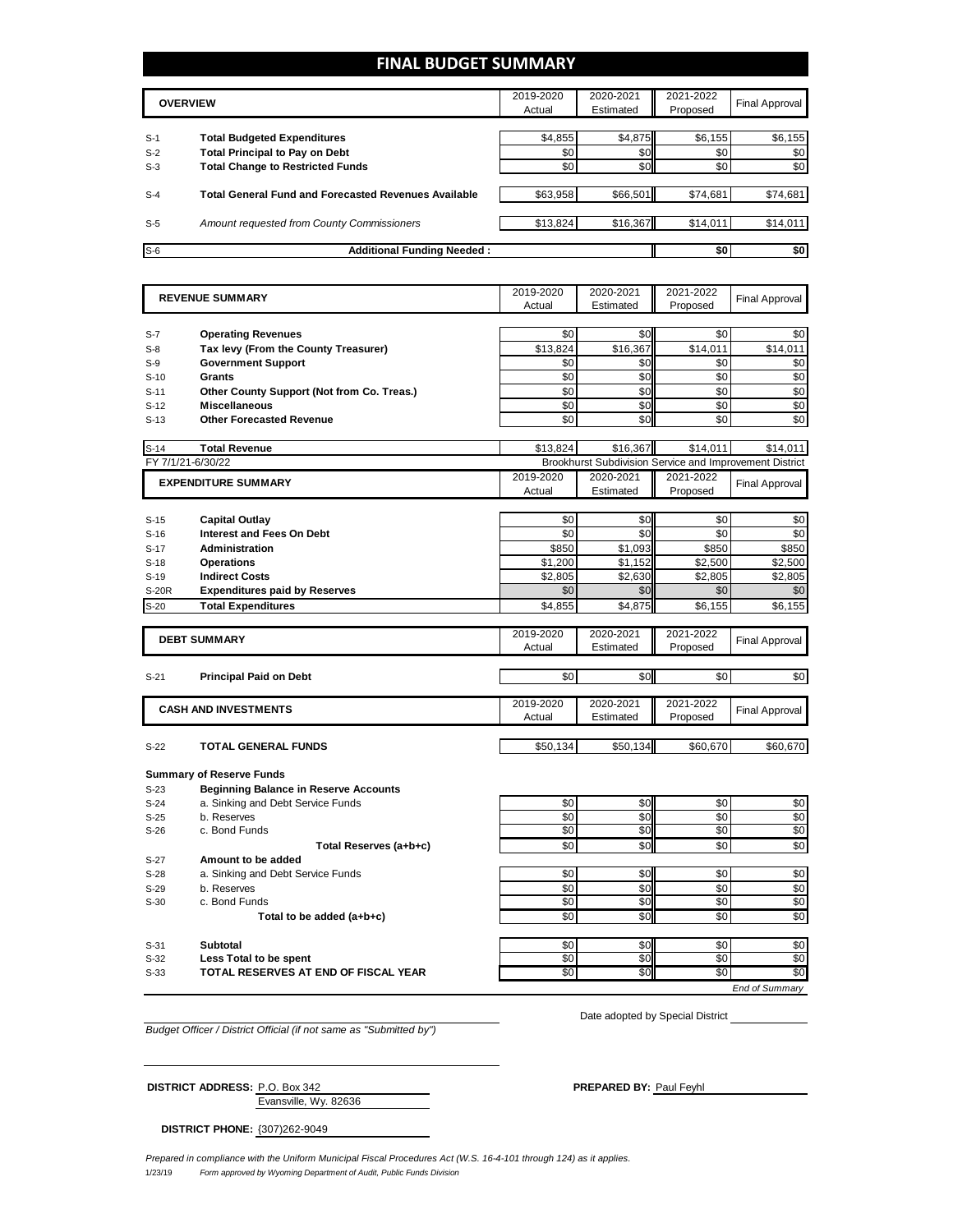### **FINAL BUDGET SUMMARY**

|       | <b>OVERVIEW</b>                                             | 2019-2020<br>Actual | 2020-2021<br>Estimated | 2021-2022<br>Proposed | Final Approval |
|-------|-------------------------------------------------------------|---------------------|------------------------|-----------------------|----------------|
|       |                                                             |                     |                        |                       |                |
| $S-1$ | <b>Total Budgeted Expenditures</b>                          | \$4,855             | \$4,875                | \$6,155               | \$6,155        |
| $S-2$ | <b>Total Principal to Pay on Debt</b>                       | \$0                 | \$0                    | \$0                   | \$0            |
| $S-3$ | <b>Total Change to Restricted Funds</b>                     | \$0                 | \$0 <sub>1</sub>       | \$0                   | \$0            |
|       |                                                             |                     |                        |                       |                |
| $S-4$ | <b>Total General Fund and Forecasted Revenues Available</b> | \$63,958            | \$66,501               | \$74,681              | \$74,681       |
|       |                                                             |                     |                        |                       |                |
| $S-5$ | Amount requested from County Commissioners                  | \$13,824            | \$16,367               | \$14,011              | \$14,011       |
|       |                                                             |                     |                        |                       |                |
| $S-6$ | <b>Additional Funding Needed:</b>                           |                     |                        | \$0                   | \$0            |

|                   | <b>REVENUE SUMMARY</b>                       | 2019-2020       | 2020-2021  | 2021-2022                                               | <b>Final Approval</b>  |
|-------------------|----------------------------------------------|-----------------|------------|---------------------------------------------------------|------------------------|
|                   |                                              | Actual          | Estimated  | Proposed                                                |                        |
|                   |                                              |                 |            |                                                         |                        |
| $S-7$             | <b>Operating Revenues</b>                    | \$0             | \$0        | \$0                                                     | \$0                    |
| $S-8$             | Tax levy (From the County Treasurer)         | \$13.824        | \$16.367   | \$14.011                                                | \$14.011               |
| $S-9$             | <b>Government Support</b>                    | \$0             | \$0        | \$0                                                     | \$0                    |
| $S-10$            | Grants                                       | \$0             | \$0        | \$0                                                     | \$0                    |
| $S-11$            | Other County Support (Not from Co. Treas.)   | \$0             | \$0        | \$0                                                     | \$0                    |
| $S-12$            | <b>Miscellaneous</b>                         | \$0             | \$0        | \$0                                                     | $\overline{30}$        |
| $S-13$            | <b>Other Forecasted Revenue</b>              | \$0             | \$0        | \$0                                                     | \$0                    |
| $S-14$            | <b>Total Revenue</b>                         | \$13,824        | \$16,367   | \$14,011                                                | \$14.011               |
| FY 7/1/21-6/30/22 |                                              |                 |            | Brookhurst Subdivision Service and Improvement District |                        |
|                   |                                              | 2019-2020       | 2020-2021  | 2021-2022                                               |                        |
|                   | <b>EXPENDITURE SUMMARY</b>                   | Actual          | Estimated  | Proposed                                                | <b>Final Approval</b>  |
|                   |                                              |                 |            |                                                         |                        |
| $S-15$            | <b>Capital Outlay</b>                        | \$0             | \$0        | \$0                                                     | \$0                    |
| $S-16$            | <b>Interest and Fees On Debt</b>             | \$0             | \$0        | \$0                                                     | \$0                    |
| $S-17$            | Administration                               | \$850           | \$1,093    | \$850                                                   | \$850                  |
| $S-18$            | <b>Operations</b>                            | \$1,200         | \$1,152    | \$2,500                                                 | \$2,500                |
| $S-19$            | <b>Indirect Costs</b>                        | \$2,805         | \$2,630    | \$2,805                                                 | \$2,805                |
| <b>S-20R</b>      | <b>Expenditures paid by Reserves</b>         | \$0             | \$0        | \$0                                                     | \$0                    |
| $S-20$            | <b>Total Expenditures</b>                    | \$4,855         | \$4,875    | \$6,155                                                 | \$6,155                |
|                   |                                              |                 |            |                                                         |                        |
|                   | <b>DEBT SUMMARY</b>                          | 2019-2020       | 2020-2021  | 2021-2022                                               | <b>Final Approval</b>  |
|                   |                                              | Actual          | Estimated  | Proposed                                                |                        |
|                   |                                              |                 |            |                                                         |                        |
|                   |                                              |                 |            |                                                         |                        |
| $S-21$            | <b>Principal Paid on Debt</b>                | \$0             | \$0        | \$0                                                     | \$0                    |
|                   |                                              | 2019-2020       | 2020-2021  |                                                         |                        |
|                   | <b>CASH AND INVESTMENTS</b>                  | Actual          | Estimated  | 2021-2022<br>Proposed                                   | <b>Final Approval</b>  |
|                   |                                              |                 |            |                                                         |                        |
| $S-22$            | <b>TOTAL GENERAL FUNDS</b>                   | \$50.134        | \$50.134   | \$60.670                                                | \$60,670               |
|                   |                                              |                 |            |                                                         |                        |
|                   | <b>Summary of Reserve Funds</b>              |                 |            |                                                         |                        |
| $S-23$            | <b>Beginning Balance in Reserve Accounts</b> |                 |            |                                                         |                        |
| $S-24$            | a. Sinking and Debt Service Funds            | \$0             | \$0        | \$0                                                     | \$0                    |
| $S-25$            | b. Reserves                                  | \$0             | \$0        | \$0                                                     | \$0                    |
| $S-26$            | c. Bond Funds                                | \$0             | \$0        | \$0                                                     | \$0                    |
|                   | Total Reserves (a+b+c)                       | \$0             | \$0        | \$0                                                     | \$0                    |
| $S-27$            | Amount to be added                           |                 |            |                                                         |                        |
| $S-28$            | a. Sinking and Debt Service Funds            | \$0             | \$0        | \$0                                                     | \$0                    |
| $S-29$            | b. Reserves                                  | \$0             | \$0        | \$0                                                     | \$0                    |
| $S-30$            | c. Bond Funds                                | $\overline{50}$ | \$0        | \$0                                                     | \$0                    |
|                   | Total to be added (a+b+c)                    | \$0             | \$0        | \$0                                                     | \$0                    |
|                   |                                              |                 |            |                                                         |                        |
| $S-31$<br>$S-32$  | <b>Subtotal</b><br>Less Total to be spent    | \$0<br>\$0      | \$0<br>\$0 | \$0<br>\$0                                              | \$0<br>$\overline{50}$ |

*End of Summary*

*Budget Officer / District Official (if not same as "Submitted by")*

Date adopted by Special District

#### Evansville, Wy. 82636 **DISTRICT ADDRESS:** P.O. Box 342 **PREPARED BY:** PREPARED BY: Paul Feyhl

**DISTRICT PHONE:** {307)262-9049

1/23/19 *Form approved by Wyoming Department of Audit, Public Funds Division Prepared in compliance with the Uniform Municipal Fiscal Procedures Act (W.S. 16-4-101 through 124) as it applies.*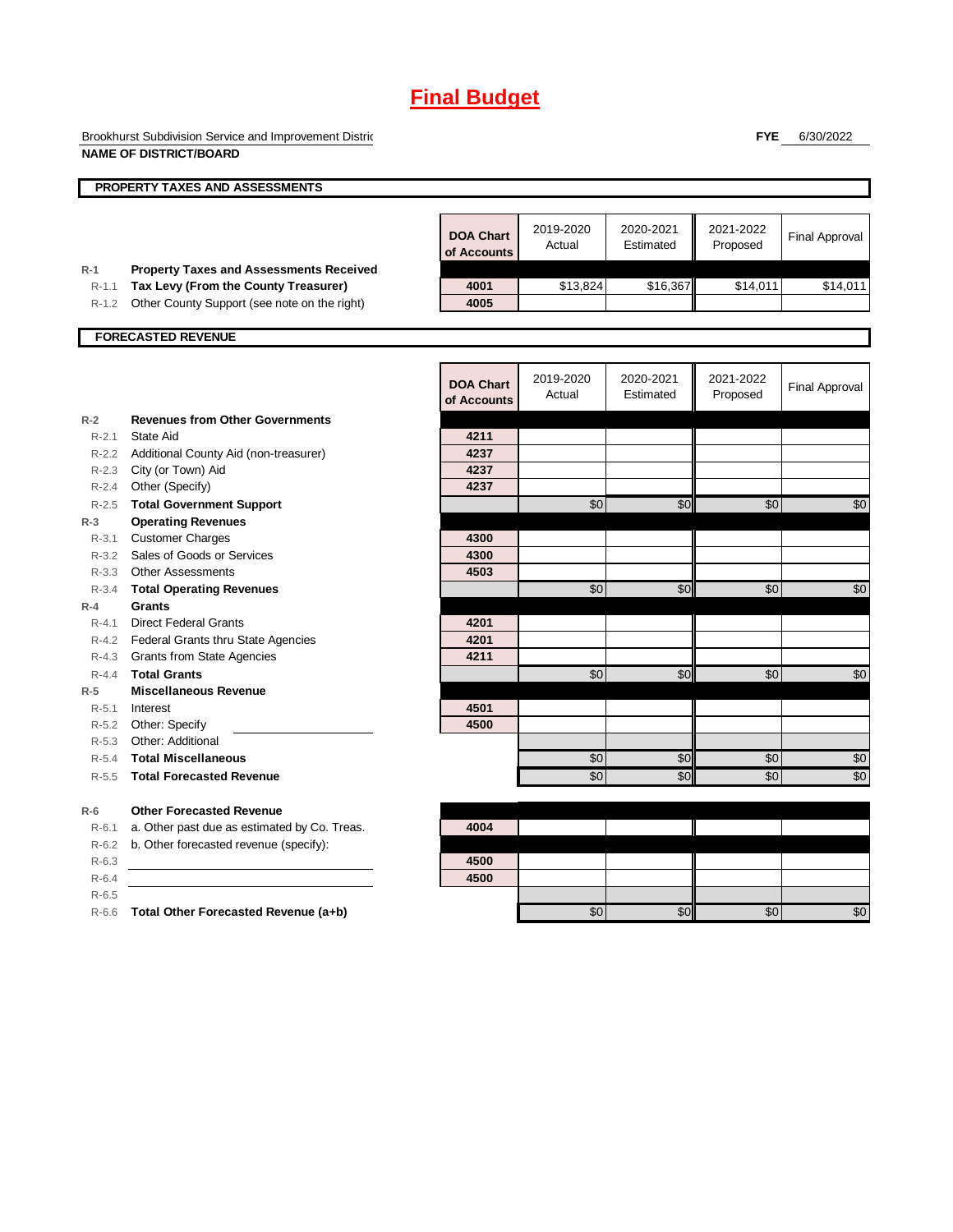Brookhurst Subdivision Service and Improvement Distric **NAME OF DISTRICT/BOARD**

**FYE** 6/30/2022

|                    | <b>NAME OF DISTRICT/BOARD</b>                                                          |                                 |                     |                        |                       |                       |
|--------------------|----------------------------------------------------------------------------------------|---------------------------------|---------------------|------------------------|-----------------------|-----------------------|
|                    | PROPERTY TAXES AND ASSESSMENTS                                                         |                                 |                     |                        |                       |                       |
|                    |                                                                                        | <b>DOA Chart</b><br>of Accounts | 2019-2020<br>Actual | 2020-2021<br>Estimated | 2021-2022<br>Proposed | <b>Final Approval</b> |
| $R-1$<br>$R - 1.1$ | <b>Property Taxes and Assessments Received</b><br>Tax Levy (From the County Treasurer) | 4001                            | \$13,824            | \$16,367               | \$14,011              | \$14,011              |
| $R-1.2$            | Other County Support (see note on the right)                                           | 4005                            |                     |                        |                       |                       |
|                    | <b>FORECASTED REVENUE</b>                                                              |                                 |                     |                        |                       |                       |
|                    |                                                                                        |                                 |                     |                        |                       |                       |
|                    |                                                                                        | <b>DOA Chart</b><br>of Accounts | 2019-2020<br>Actual | 2020-2021<br>Estimated | 2021-2022<br>Proposed | <b>Final Approval</b> |
| $R-2$              | <b>Revenues from Other Governments</b>                                                 |                                 |                     |                        |                       |                       |
| $R - 2.1$          | State Aid                                                                              | 4211                            |                     |                        |                       |                       |
| $R - 2.2$          | Additional County Aid (non-treasurer)                                                  | 4237                            |                     |                        |                       |                       |
|                    | R-2.3 City (or Town) Aid                                                               | 4237                            |                     |                        |                       |                       |
| $R - 2.4$          | Other (Specify)                                                                        | 4237                            |                     |                        |                       |                       |
| $R - 2.5$          | <b>Total Government Support</b>                                                        |                                 | \$0                 | \$0                    | $\sqrt{6}$            | $\sqrt{6}$            |
| $R-3$              | <b>Operating Revenues</b>                                                              |                                 |                     |                        |                       |                       |
| $R - 3.1$          | <b>Customer Charges</b>                                                                | 4300                            |                     |                        |                       |                       |
| $R - 3.2$          | Sales of Goods or Services                                                             | 4300                            |                     |                        |                       |                       |
|                    | R-3.3 Other Assessments                                                                | 4503                            |                     |                        |                       |                       |
| $R - 3.4$          | <b>Total Operating Revenues</b>                                                        |                                 | \$0                 | \$0                    | \$0                   | \$0                   |
| $R - 4$            | <b>Grants</b>                                                                          |                                 |                     |                        |                       |                       |
| $R - 4.1$          | <b>Direct Federal Grants</b>                                                           | 4201                            |                     |                        |                       |                       |
|                    | R-4.2 Federal Grants thru State Agencies                                               | 4201                            |                     |                        |                       |                       |
| $R - 4.3$          | Grants from State Agencies                                                             | 4211                            |                     |                        |                       |                       |
| $R - 4.4$          | <b>Total Grants</b>                                                                    |                                 | \$0                 | \$0                    | \$0                   | \$0                   |
| $R-5$              | <b>Miscellaneous Revenue</b>                                                           |                                 |                     |                        |                       |                       |
| $R - 5.1$          | Interest                                                                               | 4501                            |                     |                        |                       |                       |
| $R-5.2$            | Other: Specify                                                                         | 4500                            |                     |                        |                       |                       |
| $R - 5.3$          | Other: Additional                                                                      |                                 |                     |                        |                       |                       |
| $R - 5.4$          | <b>Total Miscellaneous</b>                                                             |                                 | \$0                 | \$0                    | \$0                   | \$0                   |
| $R - 5.5$          | <b>Total Forecasted Revenue</b>                                                        |                                 | \$0                 | \$0                    | \$0                   | \$0                   |
| $R-6$              | <b>Other Forecasted Revenue</b>                                                        |                                 |                     |                        |                       |                       |
| $R-6.1$            | a. Other past due as estimated by Co. Treas.                                           | 4004                            |                     |                        |                       |                       |
| $R-6.2$            | b. Other forecasted revenue (specify):                                                 |                                 |                     |                        |                       |                       |
| $R-6.3$            |                                                                                        | 4500                            |                     |                        |                       |                       |
| $R-6.4$            |                                                                                        | 4500                            |                     |                        |                       |                       |
| $R - 6.5$          |                                                                                        |                                 |                     |                        |                       |                       |

R-6.6 **Total Other Forecasted Revenue (a+b)** \$0 \$0 \$0 \$0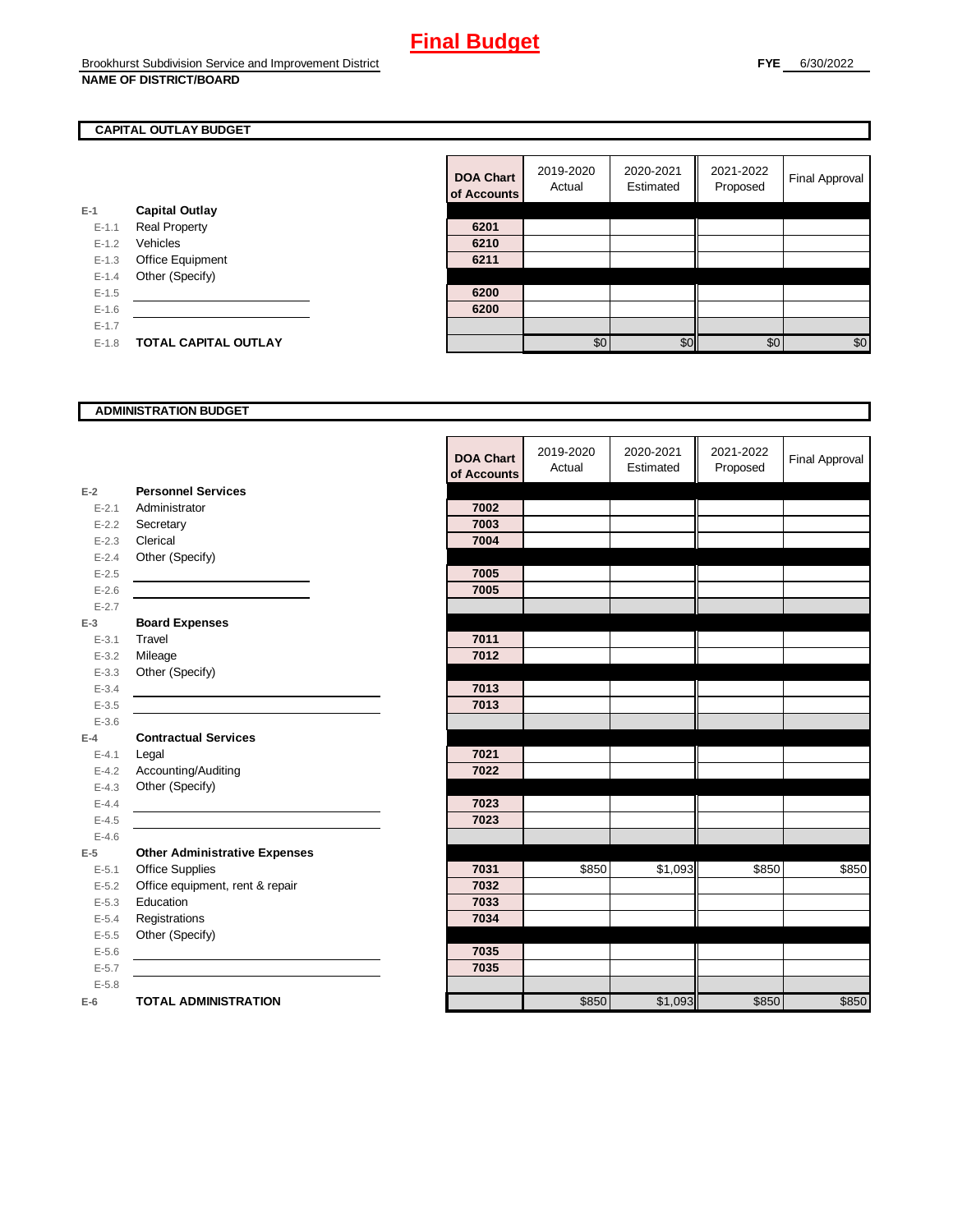### **CAPITAL OUTLAY BUDGET**

|           |                         | u acco |
|-----------|-------------------------|--------|
| E-1       | <b>Capital Outlay</b>   |        |
| $E - 1.1$ | <b>Real Property</b>    | 6201   |
| $E-1.2$   | Vehicles                | 6210   |
| $E-1.3$   | <b>Office Equipment</b> | 6211   |
| $E - 1.4$ | Other (Specify)         |        |
| $E-1.5$   |                         | 6200   |
| $E-1.6$   |                         | 6200   |
| $E-1.7$   |                         |        |
| $E-1.8$   | TOTAL CAPITAL OUTLAY    |        |

|         |                             | <b>DOA Chart</b><br>of Accounts | 2019-2020<br>Actual | 2020-2021<br>Estimated | 2021-2022<br>Proposed | <b>Final Approval</b> |
|---------|-----------------------------|---------------------------------|---------------------|------------------------|-----------------------|-----------------------|
|         | <b>Capital Outlay</b>       |                                 |                     |                        |                       |                       |
| $E-1.1$ | <b>Real Property</b>        | 6201                            |                     |                        |                       |                       |
| $E-1.2$ | Vehicles                    | 6210                            |                     |                        |                       |                       |
| $E-1.3$ | Office Equipment            | 6211                            |                     |                        |                       |                       |
| $E-1.4$ | Other (Specify)             |                                 |                     |                        |                       |                       |
| $E-1.5$ |                             | 6200                            |                     |                        |                       |                       |
| $E-1.6$ |                             | 6200                            |                     |                        |                       |                       |
| $E-1.7$ |                             |                                 |                     |                        |                       |                       |
| $E-1.8$ | <b>TOTAL CAPITAL OUTLAY</b> |                                 | \$0                 | \$0 <sub>1</sub>       | \$0                   | \$0                   |
|         |                             |                                 |                     |                        |                       |                       |

#### **ADMINISTRATION BUDGET**

|           |                                                                                           | <b>DOA Chart</b><br>of Accounts | 2019-2020<br>Actual | 2020-2021<br>Estimated | 2021-2022<br>Proposed | <b>Final Approval</b> |
|-----------|-------------------------------------------------------------------------------------------|---------------------------------|---------------------|------------------------|-----------------------|-----------------------|
| $E-2$     | <b>Personnel Services</b>                                                                 |                                 |                     |                        |                       |                       |
| $E - 2.1$ | Administrator                                                                             | 7002                            |                     |                        |                       |                       |
| $E - 2.2$ | Secretary                                                                                 | 7003                            |                     |                        |                       |                       |
| $E - 2.3$ | Clerical                                                                                  | 7004                            |                     |                        |                       |                       |
| $E - 2.4$ | Other (Specify)                                                                           |                                 |                     |                        |                       |                       |
| $E-2.5$   |                                                                                           | 7005                            |                     |                        |                       |                       |
| $E - 2.6$ |                                                                                           | 7005                            |                     |                        |                       |                       |
| $E - 2.7$ |                                                                                           |                                 |                     |                        |                       |                       |
| $E-3$     | <b>Board Expenses</b>                                                                     |                                 |                     |                        |                       |                       |
| $E - 3.1$ | <b>Travel</b>                                                                             | 7011                            |                     |                        |                       |                       |
| $E - 3.2$ | Mileage                                                                                   | 7012                            |                     |                        |                       |                       |
| $E - 3.3$ | Other (Specify)                                                                           |                                 |                     |                        |                       |                       |
| $E - 3.4$ | the control of the control of the control of the control of the control of the control of | 7013                            |                     |                        |                       |                       |
| $E - 3.5$ |                                                                                           | 7013                            |                     |                        |                       |                       |
| $E - 3.6$ |                                                                                           |                                 |                     |                        |                       |                       |
| $E-4$     | <b>Contractual Services</b>                                                               |                                 |                     |                        |                       |                       |
| $E - 4.1$ | Legal                                                                                     | 7021                            |                     |                        |                       |                       |
| $E-4.2$   | Accounting/Auditing                                                                       | 7022                            |                     |                        |                       |                       |
| $E - 4.3$ | Other (Specify)                                                                           |                                 |                     |                        |                       |                       |
| $E-4.4$   |                                                                                           | 7023                            |                     |                        |                       |                       |
| $E-4.5$   |                                                                                           | 7023                            |                     |                        |                       |                       |
| $E-4.6$   |                                                                                           |                                 |                     |                        |                       |                       |
| $E-5$     | <b>Other Administrative Expenses</b>                                                      |                                 |                     |                        |                       |                       |
| $E - 5.1$ | <b>Office Supplies</b>                                                                    | 7031                            | \$850               | \$1,093                | \$850                 | \$850                 |
| $E - 5.2$ | Office equipment, rent & repair                                                           | 7032                            |                     |                        |                       |                       |
| $E - 5.3$ | Education                                                                                 | 7033                            |                     |                        |                       |                       |
| $E - 5.4$ | Registrations                                                                             | 7034                            |                     |                        |                       |                       |
| $E-5.5$   | Other (Specify)                                                                           |                                 |                     |                        |                       |                       |
| $E - 5.6$ |                                                                                           | 7035                            |                     |                        |                       |                       |
| $E - 5.7$ |                                                                                           | 7035                            |                     |                        |                       |                       |
| $E - 5.8$ |                                                                                           |                                 |                     |                        |                       |                       |
| $E-6$     | <b>TOTAL ADMINISTRATION</b>                                                               |                                 | \$850               | \$1,093                | \$850                 | \$850                 |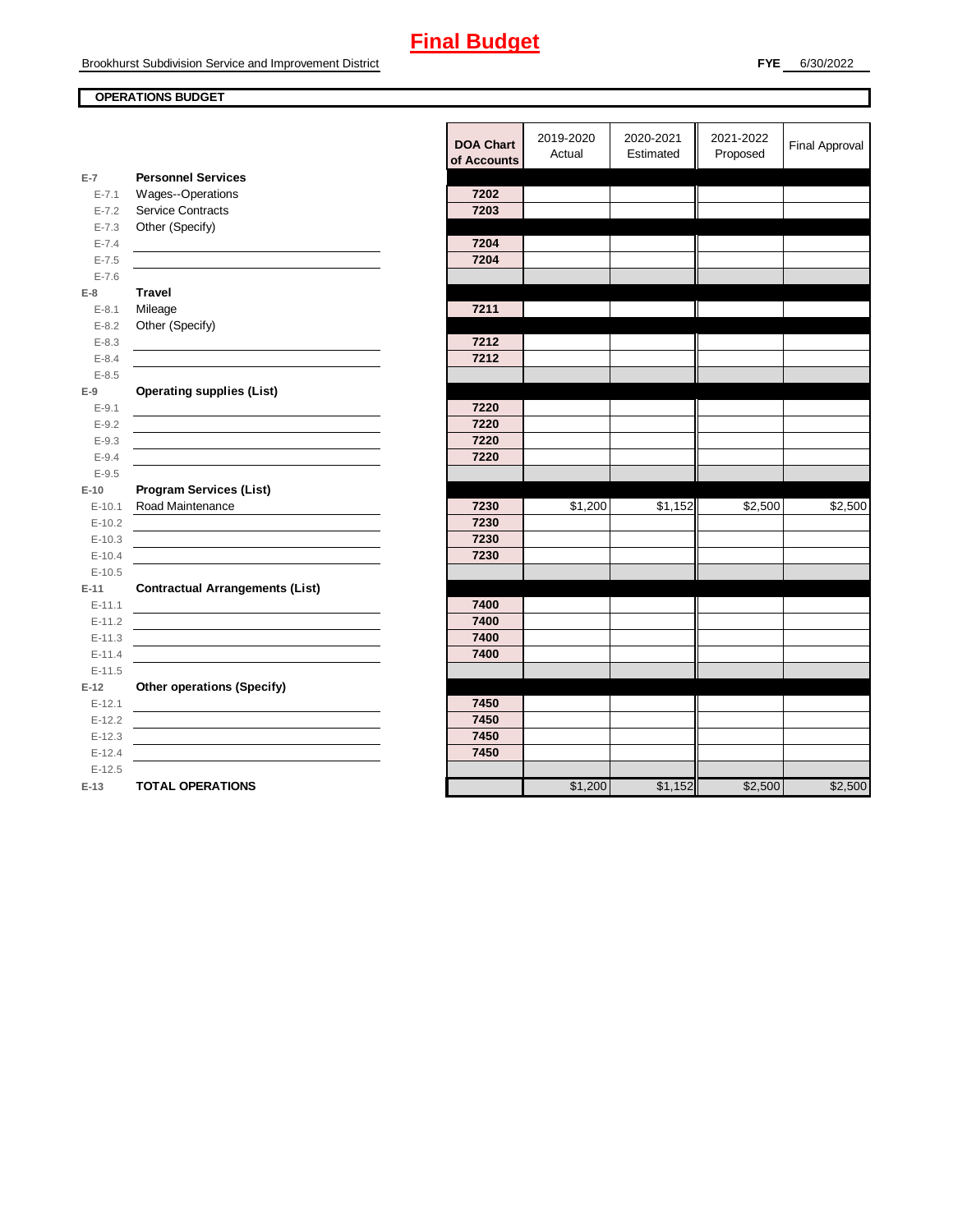### **OPERATIONS BUDGET**

|                    |                                                | <b>DOA Chart</b><br>of Accounts | 2019-2020<br>Actual | 2020-2021<br>Estimated | 2021-2022<br>Proposed | <b>Final Approval</b> |
|--------------------|------------------------------------------------|---------------------------------|---------------------|------------------------|-----------------------|-----------------------|
| $E-7$<br>$E - 7.1$ | <b>Personnel Services</b><br>Wages--Operations | 7202                            |                     |                        |                       |                       |
| $E - 7.2$          | <b>Service Contracts</b>                       | 7203                            |                     |                        |                       |                       |
| $E - 7.3$          | Other (Specify)                                |                                 |                     |                        |                       |                       |
| $E - 7.4$          |                                                | 7204                            |                     |                        |                       |                       |
| $E - 7.5$          |                                                | 7204                            |                     |                        |                       |                       |
| $E - 7.6$          |                                                |                                 |                     |                        |                       |                       |
| $E-8$              | <b>Travel</b>                                  |                                 |                     |                        |                       |                       |
| $E - 8.1$          | Mileage                                        | 7211                            |                     |                        |                       |                       |
| $E-8.2$            | Other (Specify)                                |                                 |                     |                        |                       |                       |
| $E - 8.3$          |                                                | 7212                            |                     |                        |                       |                       |
| $E - 8.4$          |                                                | 7212                            |                     |                        |                       |                       |
| $E - 8.5$          |                                                |                                 |                     |                        |                       |                       |
| $E-9$              | <b>Operating supplies (List)</b>               |                                 |                     |                        |                       |                       |
| $E-9.1$            |                                                | 7220                            |                     |                        |                       |                       |
| $E - 9.2$          |                                                | 7220                            |                     |                        |                       |                       |
| $E - 9.3$          |                                                | 7220                            |                     |                        |                       |                       |
| $E - 9.4$          |                                                | 7220                            |                     |                        |                       |                       |
| $E - 9.5$          |                                                |                                 |                     |                        |                       |                       |
| $E-10$             | <b>Program Services (List)</b>                 |                                 |                     |                        |                       |                       |
| $E-10.1$           | Road Maintenance                               | 7230                            | \$1,200             | \$1,152                | \$2,500               | \$2,500               |
| $E-10.2$           |                                                | 7230                            |                     |                        |                       |                       |
| $E-10.3$           |                                                | 7230                            |                     |                        |                       |                       |
| $E-10.4$           |                                                | 7230                            |                     |                        |                       |                       |
| $E-10.5$           |                                                |                                 |                     |                        |                       |                       |
| $E-11$             | <b>Contractual Arrangements (List)</b>         |                                 |                     |                        |                       |                       |
| $E-11.1$           |                                                | 7400                            |                     |                        |                       |                       |
| $E-11.2$           |                                                | 7400                            |                     |                        |                       |                       |
| $E-11.3$           |                                                | 7400                            |                     |                        |                       |                       |
| $E-11.4$           |                                                | 7400                            |                     |                        |                       |                       |
| $E-11.5$           |                                                |                                 |                     |                        |                       |                       |
| $E-12$<br>$E-12.1$ | <b>Other operations (Specify)</b>              | 7450                            |                     |                        |                       |                       |
| $E-12.2$           |                                                | 7450                            |                     |                        |                       |                       |
| $E-12.3$           |                                                | 7450                            |                     |                        |                       |                       |
| $E-12.4$           |                                                | 7450                            |                     |                        |                       |                       |
| $E-12.5$           |                                                |                                 |                     |                        |                       |                       |
| $E-13$             | <b>TOTAL OPERATIONS</b>                        |                                 | \$1,200             | \$1,152                | \$2,500               | \$2,500               |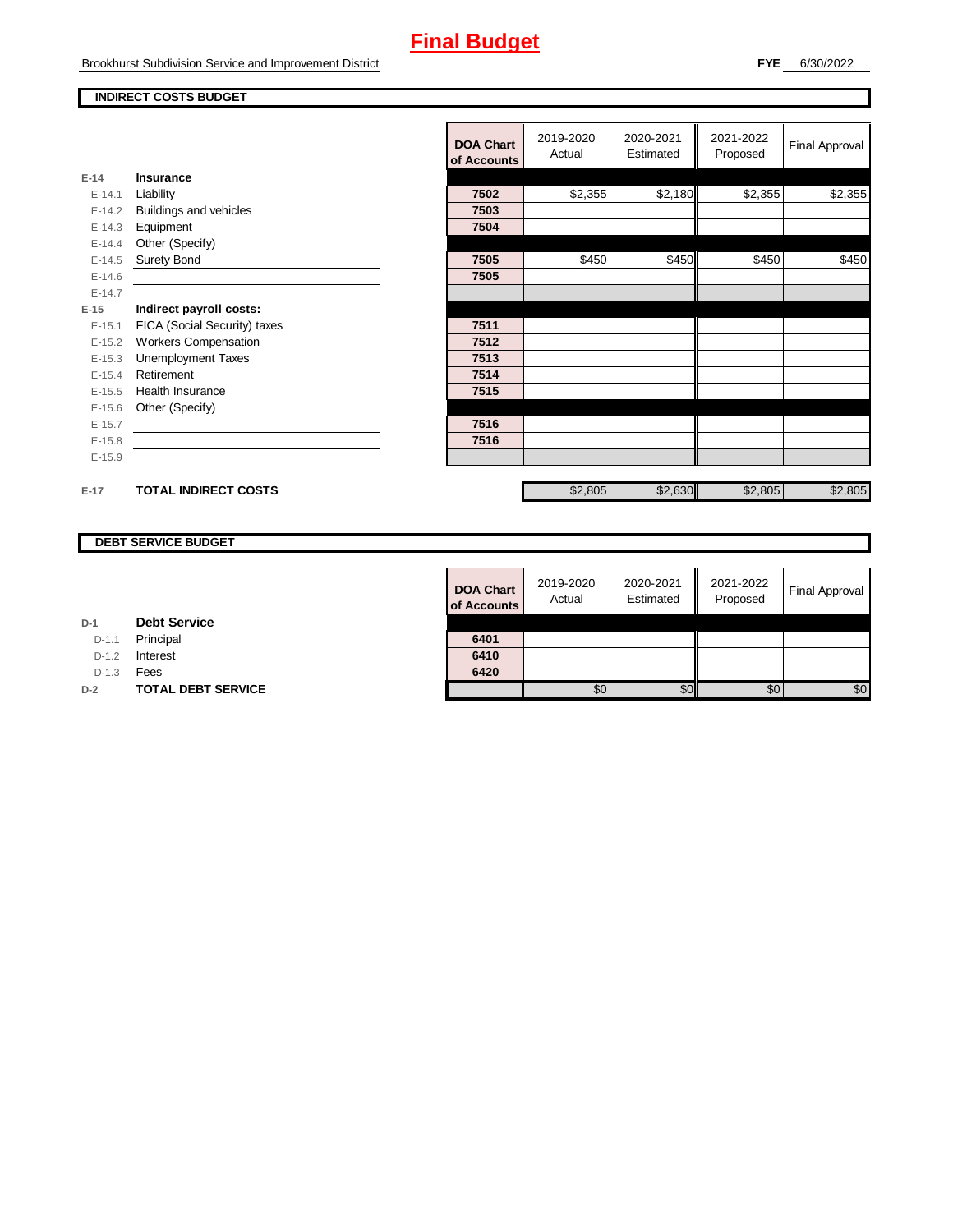### **INDIRECT COSTS BUDGET**

|          |                              | <b>DOA Chart</b><br>of Accounts | 2019-2020<br>Actual | 2020-2021<br>Estimated | 2021-2022<br>Proposed | Final Approval |
|----------|------------------------------|---------------------------------|---------------------|------------------------|-----------------------|----------------|
| $E-14$   | <b>Insurance</b>             |                                 |                     |                        |                       |                |
| $E-14.1$ | Liability                    | 7502                            | \$2,355             | \$2,180                | \$2,355               | \$2,355        |
| $E-14.2$ | Buildings and vehicles       | 7503                            |                     |                        |                       |                |
| $E-14.3$ | Equipment                    | 7504                            |                     |                        |                       |                |
| $E-14.4$ | Other (Specify)              |                                 |                     |                        |                       |                |
| $E-14.5$ | <b>Surety Bond</b>           | 7505                            | \$450               | \$450                  | \$450                 | \$450          |
| $E-14.6$ |                              | 7505                            |                     |                        |                       |                |
| $E-14.7$ |                              |                                 |                     |                        |                       |                |
| $E-15$   | Indirect payroll costs:      |                                 |                     |                        |                       |                |
| $E-15.1$ | FICA (Social Security) taxes | 7511                            |                     |                        |                       |                |
| $E-15.2$ | <b>Workers Compensation</b>  | 7512                            |                     |                        |                       |                |
| $E-15.3$ | <b>Unemployment Taxes</b>    | 7513                            |                     |                        |                       |                |
| $E-15.4$ | Retirement                   | 7514                            |                     |                        |                       |                |
| $E-15.5$ | <b>Health Insurance</b>      | 7515                            |                     |                        |                       |                |
| $E-15.6$ | Other (Specify)              |                                 |                     |                        |                       |                |
| $E-15.7$ |                              | 7516                            |                     |                        |                       |                |
| $E-15.8$ |                              | 7516                            |                     |                        |                       |                |
| $E-15.9$ |                              |                                 |                     |                        |                       |                |
| $E-17$   | <b>TOTAL INDIRECT COSTS</b>  |                                 | \$2,805             | \$2,630                | \$2,805               | \$2,805        |

#### **DEBT SERVICE BUDGET**

**D-2 TOTAL DEBT SERVICE** 

**Debt Service**

**D-1**

D-1.1 **Principal** D-1.2 **Interest** D-1.3 **Fees** 

| <b>DOA Chart</b><br>of Accounts | 2019-2020<br>Actual | 2020-2021<br>Estimated | 2021-2022<br>Proposed | <b>Final Approval</b> |
|---------------------------------|---------------------|------------------------|-----------------------|-----------------------|
| 6401                            |                     |                        |                       |                       |
| 6410                            |                     |                        |                       |                       |
| 6420                            |                     |                        |                       |                       |
|                                 |                     |                        | \$0                   | \$0                   |